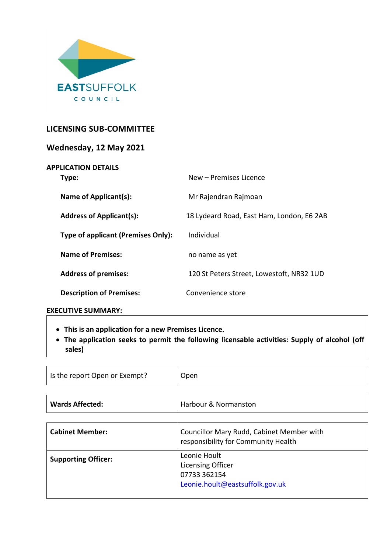

# **LICENSING SUB-COMMITTEE**

| Wednesday, 12 May 2021              |                                           |
|-------------------------------------|-------------------------------------------|
| <b>APPLICATION DETAILS</b><br>Type: | New – Premises Licence                    |
| Name of Applicant(s):               | Mr Rajendran Rajmoan                      |
| <b>Address of Applicant(s):</b>     | 18 Lydeard Road, East Ham, London, E6 2AB |
| Type of applicant (Premises Only):  | Individual                                |
| <b>Name of Premises:</b>            | no name as yet                            |
| <b>Address of premises:</b>         | 120 St Peters Street, Lowestoft, NR32 1UD |
| <b>Description of Premises:</b>     | Convenience store                         |
|                                     |                                           |

#### **EXECUTIVE SUMMARY:**

- **This is an application for a new Premises Licence.**
- **The application seeks to permit the following licensable activities: Supply of alcohol (off sales)**

| Is the report Open or Exempt? | Open |
|-------------------------------|------|
|                               |      |

| <b>Wards Affected:</b><br>Harbour & Normanston |  |  |
|------------------------------------------------|--|--|
|------------------------------------------------|--|--|

| <b>Cabinet Member:</b>     | Councillor Mary Rudd, Cabinet Member with<br>responsibility for Community Health            |
|----------------------------|---------------------------------------------------------------------------------------------|
| <b>Supporting Officer:</b> | Leonie Hoult<br><b>Licensing Officer</b><br>07733 362154<br>Leonie.hoult@eastsuffolk.gov.uk |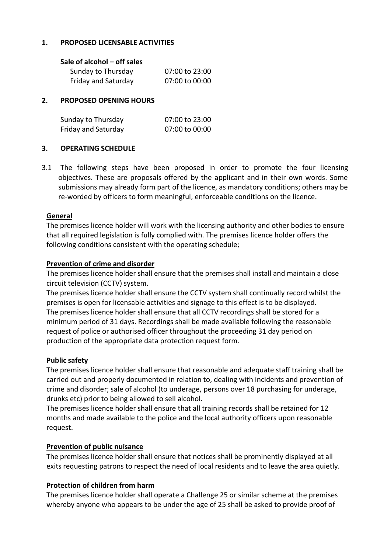## **1. PROPOSED LICENSABLE ACTIVITIES**

## **Sale of alcohol – off sales**

| Sunday to Thursday  | 07:00 to 23:00 |
|---------------------|----------------|
| Friday and Saturday | 07:00 to 00:00 |

## **2. PROPOSED OPENING HOURS**

| Sunday to Thursday  | 07:00 to 23:00 |
|---------------------|----------------|
| Friday and Saturday | 07:00 to 00:00 |

## **3. OPERATING SCHEDULE**

3.1 The following steps have been proposed in order to promote the four licensing objectives. These are proposals offered by the applicant and in their own words. Some submissions may already form part of the licence, as mandatory conditions; others may be re-worded by officers to form meaningful, enforceable conditions on the licence.

#### **General**

The premises licence holder will work with the licensing authority and other bodies to ensure that all required legislation is fully complied with. The premises licence holder offers the following conditions consistent with the operating schedule;

#### **Prevention of crime and disorder**

The premises licence holder shall ensure that the premises shall install and maintain a close circuit television (CCTV) system.

The premises licence holder shall ensure the CCTV system shall continually record whilst the premises is open for licensable activities and signage to this effect is to be displayed. The premises licence holder shall ensure that all CCTV recordings shall be stored for a minimum period of 31 days. Recordings shall be made available following the reasonable request of police or authorised officer throughout the proceeding 31 day period on production of the appropriate data protection request form.

#### **Public safety**

The premises licence holder shall ensure that reasonable and adequate staff training shall be carried out and properly documented in relation to, dealing with incidents and prevention of crime and disorder; sale of alcohol (to underage, persons over 18 purchasing for underage, drunks etc) prior to being allowed to sell alcohol.

The premises licence holder shall ensure that all training records shall be retained for 12 months and made available to the police and the local authority officers upon reasonable request.

#### **Prevention of public nuisance**

The premises licence holder shall ensure that notices shall be prominently displayed at all exits requesting patrons to respect the need of local residents and to leave the area quietly.

#### **Protection of children from harm**

The premises licence holder shall operate a Challenge 25 or similar scheme at the premises whereby anyone who appears to be under the age of 25 shall be asked to provide proof of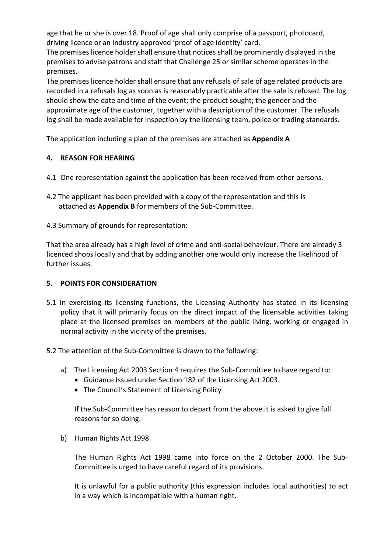age that he or she is over 18. Proof of age shall only comprise of a passport, photocard, driving licence or an industry approved 'proof of age identity' card.

The premises licence holder shall ensure that notices shall be prominently displayed in the premises to advise patrons and staff that Challenge 25 or similar scheme operates in the premises.

The premises licence holder shall ensure that any refusals of sale of age related products are recorded in a refusals log as soon as is reasonably practicable after the sale is refused. The log should show the date and time of the event; the product sought; the gender and the approximate age of the customer, together with a description of the customer. The refusals log shall be made available for inspection by the licensing team, police or trading standards.

The application including a plan of the premises are attached as **Appendix A**

## **4. REASON FOR HEARING**

- 4.1 One representation against the application has been received from other persons.
- 4.2 The applicant has been provided with a copy of the representation and this is attached as **Appendix B** for members of the Sub-Committee.
- 4.3 Summary of grounds for representation:

That the area already has a high level of crime and anti-social behaviour. There are already 3 licenced shops locally and that by adding another one would only increase the likelihood of further issues.

## **5. POINTS FOR CONSIDERATION**

- 5.1 In exercising its licensing functions, the Licensing Authority has stated in its licensing policy that it will primarily focus on the direct impact of the licensable activities taking place at the licensed premises on members of the public living, working or engaged in normal activity in the vicinity of the premises.
- 5.2 The attention of the Sub-Committee is drawn to the following:
	- a) The Licensing Act 2003 Section 4 requires the Sub-Committee to have regard to:
		- Guidance Issued under Section 182 of the Licensing Act 2003.
		- The Council's Statement of Licensing Policy

If the Sub-Committee has reason to depart from the above it is asked to give full reasons for so doing.

b) Human Rights Act 1998

The Human Rights Act 1998 came into force on the 2 October 2000. The Sub-Committee is urged to have careful regard of its provisions.

It is unlawful for a public authority (this expression includes local authorities) to act in a way which is incompatible with a human right.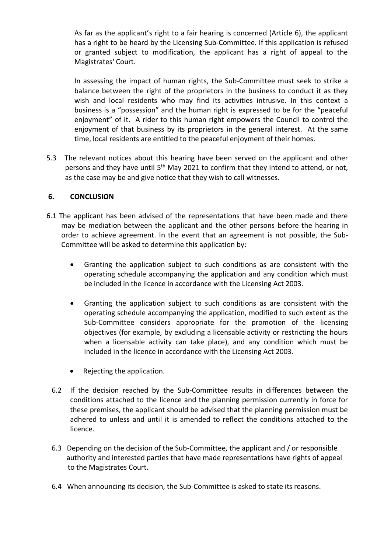As far as the applicant's right to a fair hearing is concerned (Article 6), the applicant has a right to be heard by the Licensing Sub-Committee. If this application is refused or granted subject to modification, the applicant has a right of appeal to the Magistrates' Court.

In assessing the impact of human rights, the Sub-Committee must seek to strike a balance between the right of the proprietors in the business to conduct it as they wish and local residents who may find its activities intrusive. In this context a business is a "possession" and the human right is expressed to be for the "peaceful enjoyment" of it. A rider to this human right empowers the Council to control the enjoyment of that business by its proprietors in the general interest. At the same time, local residents are entitled to the peaceful enjoyment of their homes.

5.3 The relevant notices about this hearing have been served on the applicant and other persons and they have until 5<sup>th</sup> May 2021 to confirm that they intend to attend, or not, as the case may be and give notice that they wish to call witnesses.

## **6. CONCLUSION**

- 6.1 The applicant has been advised of the representations that have been made and there may be mediation between the applicant and the other persons before the hearing in order to achieve agreement. In the event that an agreement is not possible, the Sub-Committee will be asked to determine this application by:
	- Granting the application subject to such conditions as are consistent with the operating schedule accompanying the application and any condition which must be included in the licence in accordance with the Licensing Act 2003.
	- Granting the application subject to such conditions as are consistent with the operating schedule accompanying the application, modified to such extent as the Sub-Committee considers appropriate for the promotion of the licensing objectives (for example, by excluding a licensable activity or restricting the hours when a licensable activity can take place), and any condition which must be included in the licence in accordance with the Licensing Act 2003.
	- Rejecting the application.
	- 6.2 If the decision reached by the Sub-Committee results in differences between the conditions attached to the licence and the planning permission currently in force for these premises, the applicant should be advised that the planning permission must be adhered to unless and until it is amended to reflect the conditions attached to the licence.
	- 6.3 Depending on the decision of the Sub-Committee, the applicant and / or responsible authority and interested parties that have made representations have rights of appeal to the Magistrates Court.
	- 6.4 When announcing its decision, the Sub-Committee is asked to state its reasons.